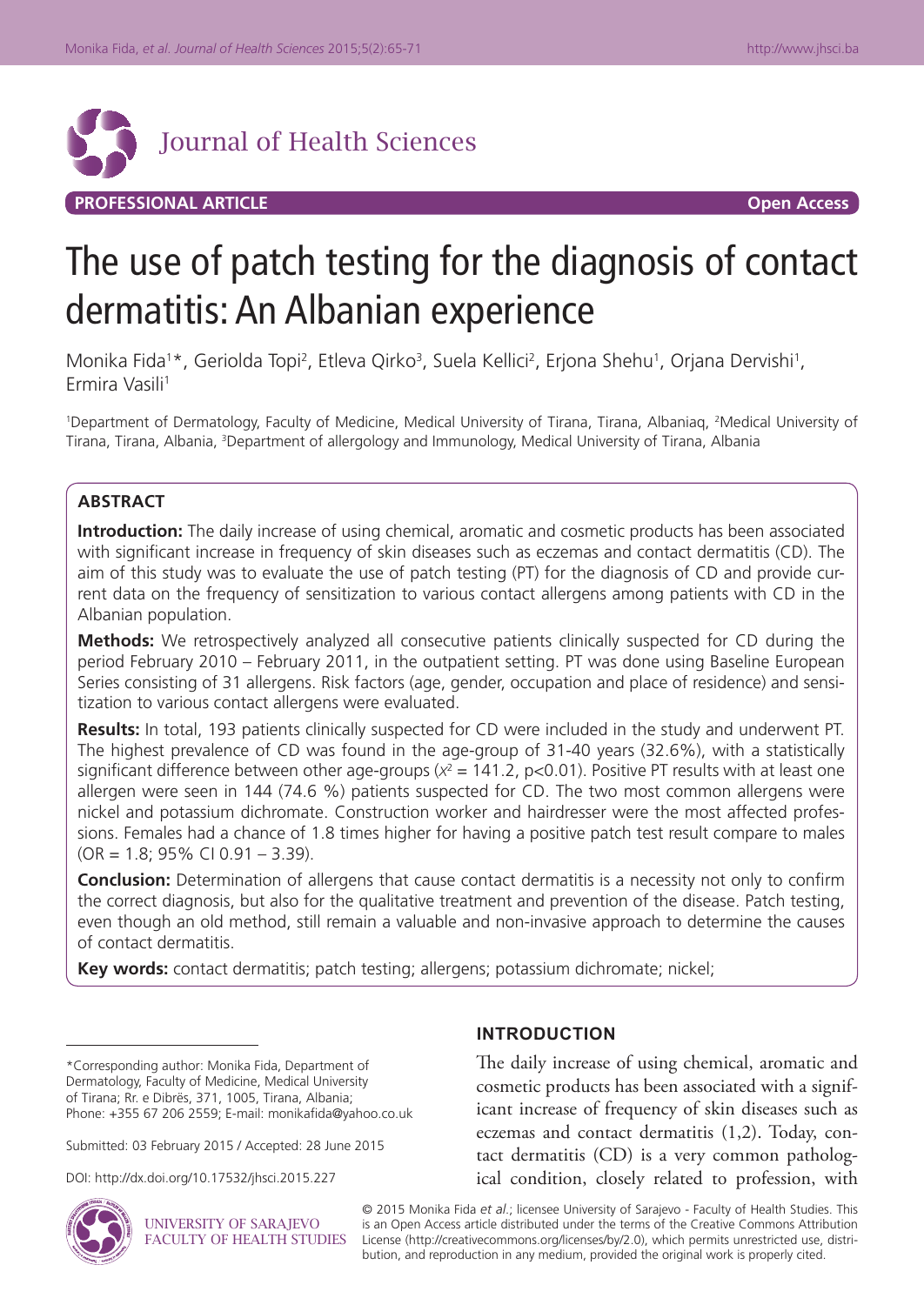

# **PROFESSIONAL ARTICLE Open Access**

# The use of patch testing for the diagnosis of contact dermatitis: An Albanian experience

Monika Fida<sup>1\*</sup>, Geriolda Topi<sup>2</sup>, Etleva Qirko<sup>3</sup>, Suela Kellici<sup>2</sup>, Erjona Shehu<sup>1</sup>, Orjana Dervishi<sup>1</sup>, Ermira Vasili1

1 Department of Dermatology, Faculty of Medicine, Medical University of Tirana, Tirana, Albaniaq, 2 Medical University of Tirana, Tirana, Albania, <sup>3</sup>Department of allergology and Immunology, Medical University of Tirana, Albania

## **ABSTRACT**

**Introduction:** The daily increase of using chemical, aromatic and cosmetic products has been associated with significant increase in frequency of skin diseases such as eczemas and contact dermatitis (CD). The aim of this study was to evaluate the use of patch testing (PT) for the diagnosis of CD and provide current data on the frequency of sensitization to various contact allergens among patients with CD in the Albanian population.

**Methods:** We retrospectively analyzed all consecutive patients clinically suspected for CD during the period February 2010 – February 2011, in the outpatient setting. PT was done using Baseline European Series consisting of 31 allergens. Risk factors (age, gender, occupation and place of residence) and sensitization to various contact allergens were evaluated.

**Results:** In total, 193 patients clinically suspected for CD were included in the study and underwent PT. The highest prevalence of CD was found in the age-group of 31-40 years (32.6%), with a statistically significant difference between other age-groups ( $x^2 = 141.2$ ,  $p < 0.01$ ). Positive PT results with at least one allergen were seen in 144 (74.6 %) patients suspected for CD. The two most common allergens were nickel and potassium dichromate. Construction worker and hairdresser were the most affected professions. Females had a chance of 1.8 times higher for having a positive patch test result compare to males (OR = 1.8; 95% CI 0.91 – 3.39).

**Conclusion:** Determination of allergens that cause contact dermatitis is a necessity not only to confirm the correct diagnosis, but also for the qualitative treatment and prevention of the disease. Patch testing, even though an old method, still remain a valuable and non-invasive approach to determine the causes of contact dermatitis.

**Key words:** contact dermatitis; patch testing; allergens; potassium dichromate; nickel;

Submitted: 03 February 2015 / Accepted: 28 June 2015

DOI: http://dx.doi.org/10.17532/jhsci.2015.227



**UNIVERSITY OF SARAJEVO** FACULTY OF HEALTH STUDIES

# **INTRODUCTION**

The daily increase of using chemical, aromatic and cosmetic products has been associated with a significant increase of frequency of skin diseases such as eczemas and contact dermatitis (1,2). Today, contact dermatitis (CD) is a very common pathological condition, closely related to profession, with

© 2015 Monika Fida *et al*.; licensee University of Sarajevo - Faculty of Health Studies. This is an Open Access article distributed under the terms of the Creative Commons Attribution License (http://creativecommons.org/licenses/by/2.0), which permits unrestricted use, distribution, and reproduction in any medium, provided the original work is properly cited.

<sup>\*</sup>Corresponding author: Monika Fida, Department of Dermatology, Faculty of Medicine, Medical University of Tirana; Rr. e Dibrës, 371, 1005, Tirana, Albania; Phone: +355 67 206 2559; E-mail: monikafida@yahoo.co.uk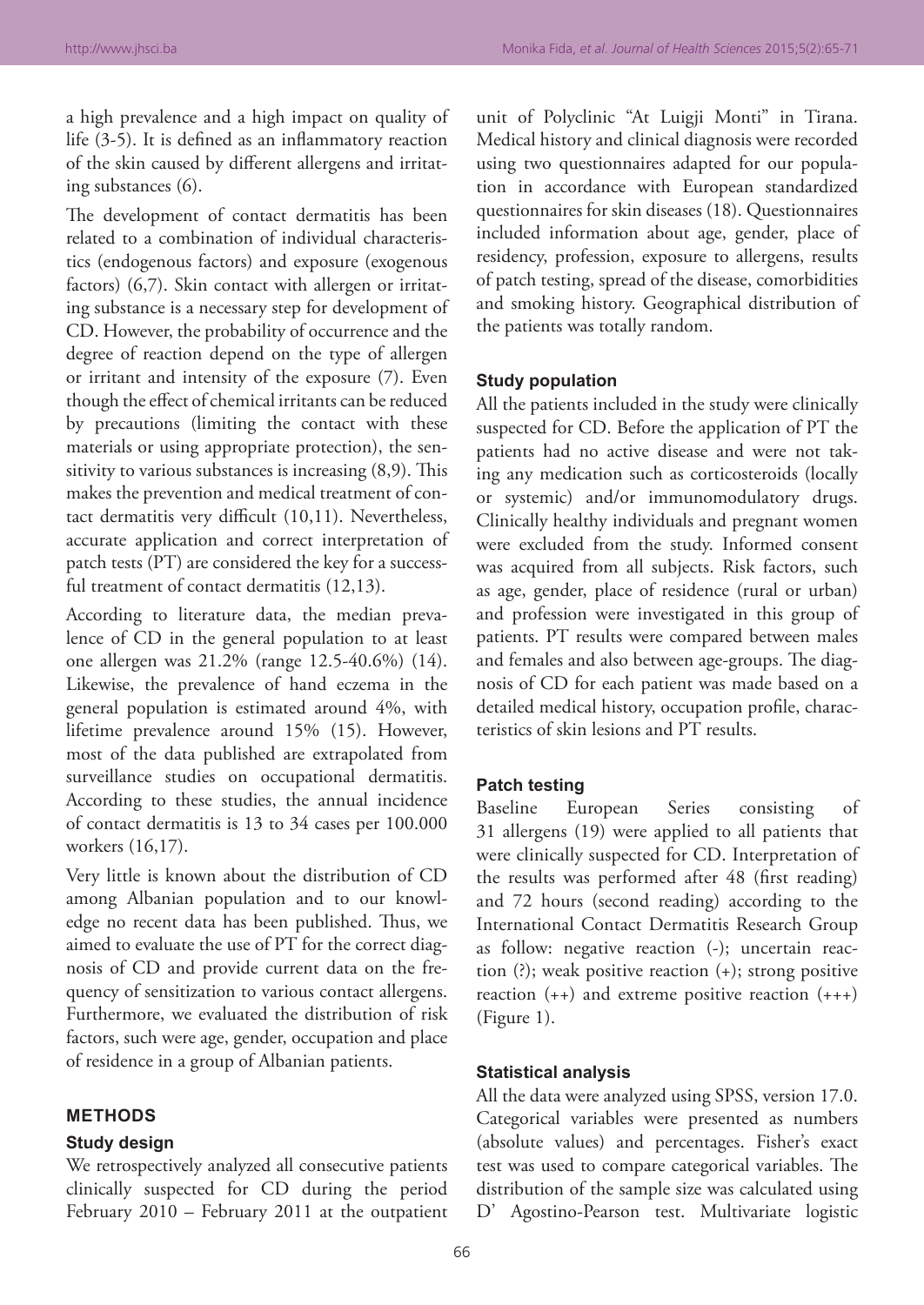a high prevalence and a high impact on quality of life (3-5). It is defined as an inflammatory reaction of the skin caused by different allergens and irritating substances (6).

The development of contact dermatitis has been related to a combination of individual characteristics (endogenous factors) and exposure (exogenous factors) (6,7). Skin contact with allergen or irritating substance is a necessary step for development of CD. However, the probability of occurrence and the degree of reaction depend on the type of allergen or irritant and intensity of the exposure (7). Even though the effect of chemical irritants can be reduced by precautions (limiting the contact with these materials or using appropriate protection), the sensitivity to various substances is increasing (8,9). This makes the prevention and medical treatment of contact dermatitis very difficult (10,11). Nevertheless, accurate application and correct interpretation of patch tests (PT) are considered the key for a successful treatment of contact dermatitis (12,13).

According to literature data, the median prevalence of CD in the general population to at least one allergen was 21.2% (range 12.5-40.6%) (14). Likewise, the prevalence of hand eczema in the general population is estimated around 4%, with lifetime prevalence around 15% (15). However, most of the data published are extrapolated from surveillance studies on occupational dermatitis. According to these studies, the annual incidence of contact dermatitis is 13 to 34 cases per 100.000 workers (16,17).

Very little is known about the distribution of CD among Albanian population and to our knowledge no recent data has been published. Thus, we aimed to evaluate the use of PT for the correct diagnosis of CD and provide current data on the frequency of sensitization to various contact allergens. Furthermore, we evaluated the distribution of risk factors, such were age, gender, occupation and place of residence in a group of Albanian patients.

#### **METHODS**

### **Study design**

We retrospectively analyzed all consecutive patients clinically suspected for CD during the period February 2010 – February 2011 at the outpatient

unit of Polyclinic "At Luigji Monti" in Tirana. Medical history and clinical diagnosis were recorded using two questionnaires adapted for our population in accordance with European standardized questionnaires for skin diseases (18). Questionnaires included information about age, gender, place of residency, profession, exposure to allergens, results of patch testing, spread of the disease, comorbidities and smoking history. Geographical distribution of the patients was totally random.

## **Study population**

All the patients included in the study were clinically suspected for CD. Before the application of PT the patients had no active disease and were not taking any medication such as corticosteroids (locally or systemic) and/or immunomodulatory drugs. Clinically healthy individuals and pregnant women were excluded from the study. Informed consent was acquired from all subjects. Risk factors, such as age, gender, place of residence (rural or urban) and profession were investigated in this group of patients. PT results were compared between males and females and also between age-groups. The diagnosis of CD for each patient was made based on a detailed medical history, occupation profile, characteristics of skin lesions and PT results.

#### **Patch testing**

Baseline European Series consisting of 31 allergens (19) were applied to all patients that were clinically suspected for CD. Interpretation of the results was performed after 48 (first reading) and 72 hours (second reading) according to the International Contact Dermatitis Research Group as follow: negative reaction (-); uncertain reaction (?); weak positive reaction (+); strong positive reaction  $(++)$  and extreme positive reaction  $(++)$ (Figure 1).

#### **Statistical analysis**

All the data were analyzed using SPSS, version 17.0. Categorical variables were presented as numbers (absolute values) and percentages. Fisher's exact test was used to compare categorical variables. The distribution of the sample size was calculated using D' Agostino-Pearson test. Multivariate logistic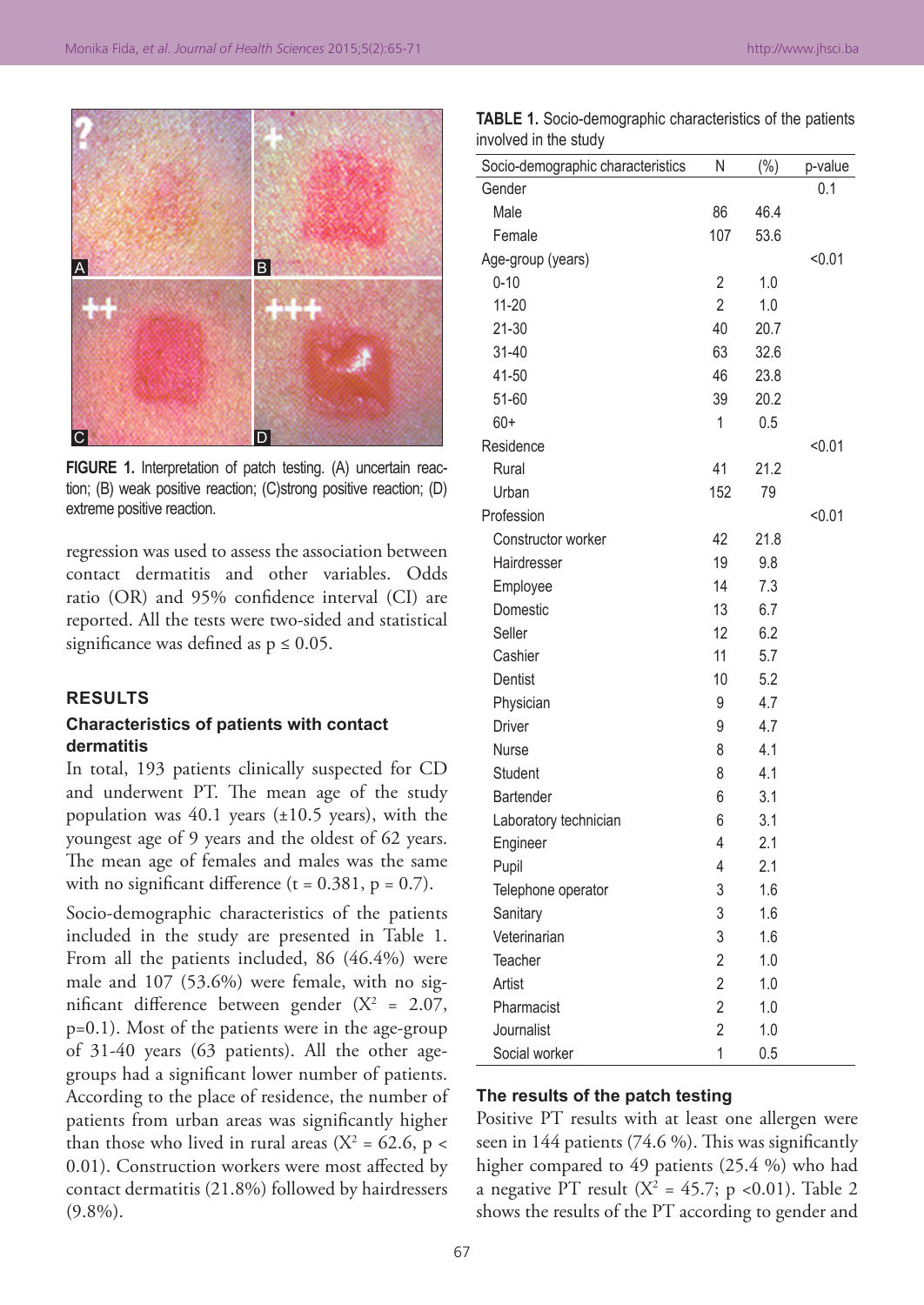

**FIGURE 1.** Interpretation of patch testing. (A) uncertain reaction; (B) weak positive reaction; (C)strong positive reaction; (D) extreme positive reaction.

regression was used to assess the association between contact dermatitis and other variables. Odds ratio (OR) and 95% confidence interval (CI) are reported. All the tests were two-sided and statistical significance was defined as  $p \leq 0.05$ .

#### **RESULTS**

## **Characteristics of patients with contact dermatitis**

In total, 193 patients clinically suspected for CD and underwent PT. The mean age of the study population was  $40.1$  years ( $\pm 10.5$  years), with the youngest age of 9 years and the oldest of 62 years. The mean age of females and males was the same with no significant difference ( $t = 0.381$ ,  $p = 0.7$ ).

Socio-demographic characteristics of the patients included in the study are presented in Table 1. From all the patients included, 86 (46.4%) were male and 107 (53.6%) were female, with no significant difference between gender  $(X^2 = 2.07,$ p=0.1). Most of the patients were in the age-group of 31-40 years (63 patients). All the other agegroups had a significant lower number of patients. According to the place of residence, the number of patients from urban areas was significantly higher than those who lived in rural areas ( $X^2 = 62.6$ , p < 0.01). Construction workers were most affected by contact dermatitis (21.8%) followed by hairdressers (9.8%).

| <b>TABLE 1.</b> Socio-demographic characteristics of the patients |  |  |  |
|-------------------------------------------------------------------|--|--|--|
| involved in the study                                             |  |  |  |

| Socio-demographic characteristics | N              | $(\% )$ | p-value |
|-----------------------------------|----------------|---------|---------|
| Gender                            |                |         | 0.1     |
| Male                              | 86             | 46.4    |         |
| Female                            | 107            | 53.6    |         |
| Age-group (years)                 |                |         | < 0.01  |
| $0 - 10$                          | $\overline{2}$ | 1.0     |         |
| $11 - 20$                         | $\overline{2}$ | 1.0     |         |
| $21 - 30$                         | 40             | 20.7    |         |
| 31-40                             | 63             | 32.6    |         |
| 41-50                             | 46             | 23.8    |         |
| 51-60                             | 39             | 20.2    |         |
| $60+$                             | 1              | 0.5     |         |
| Residence                         |                |         | < 0.01  |
| Rural                             | 41             | 21.2    |         |
| Urban                             | 152            | 79      |         |
| Profession                        |                |         | < 0.01  |
| Constructor worker                | 42             | 21.8    |         |
| Hairdresser                       | 19             | 9.8     |         |
| Employee                          | 14             | 7.3     |         |
| Domestic                          | 13             | 6.7     |         |
| Seller                            | 12             | 6.2     |         |
| Cashier                           | 11             | 5.7     |         |
| Dentist                           | 10             | 5.2     |         |
| Physician                         | 9              | 4.7     |         |
| Driver                            | 9              | 4.7     |         |
| Nurse                             | 8              | 4.1     |         |
| <b>Student</b>                    | 8              | 4.1     |         |
| Bartender                         | 6              | 3.1     |         |
| Laboratory technician             | 6              | 3.1     |         |
| Engineer                          | 4              | 2.1     |         |
| Pupil                             | 4              | 2.1     |         |
| Telephone operator                | 3              | 1.6     |         |
| Sanitary                          | 3              | 1.6     |         |
| Veterinarian                      | 3              | 1.6     |         |
| Teacher                           | $\overline{2}$ | 1.0     |         |
| Artist                            | $\overline{2}$ | 1.0     |         |
| Pharmacist                        | $\overline{2}$ | 1.0     |         |
| Journalist                        | $\overline{2}$ | 1.0     |         |
| Social worker                     | 1              | 0.5     |         |

#### **The results of the patch testing**

Positive PT results with at least one allergen were seen in 144 patients (74.6 %). This was significantly higher compared to 49 patients (25.4 %) who had a negative PT result ( $X^2 = 45.7$ ; p <0.01). Table 2 shows the results of the PT according to gender and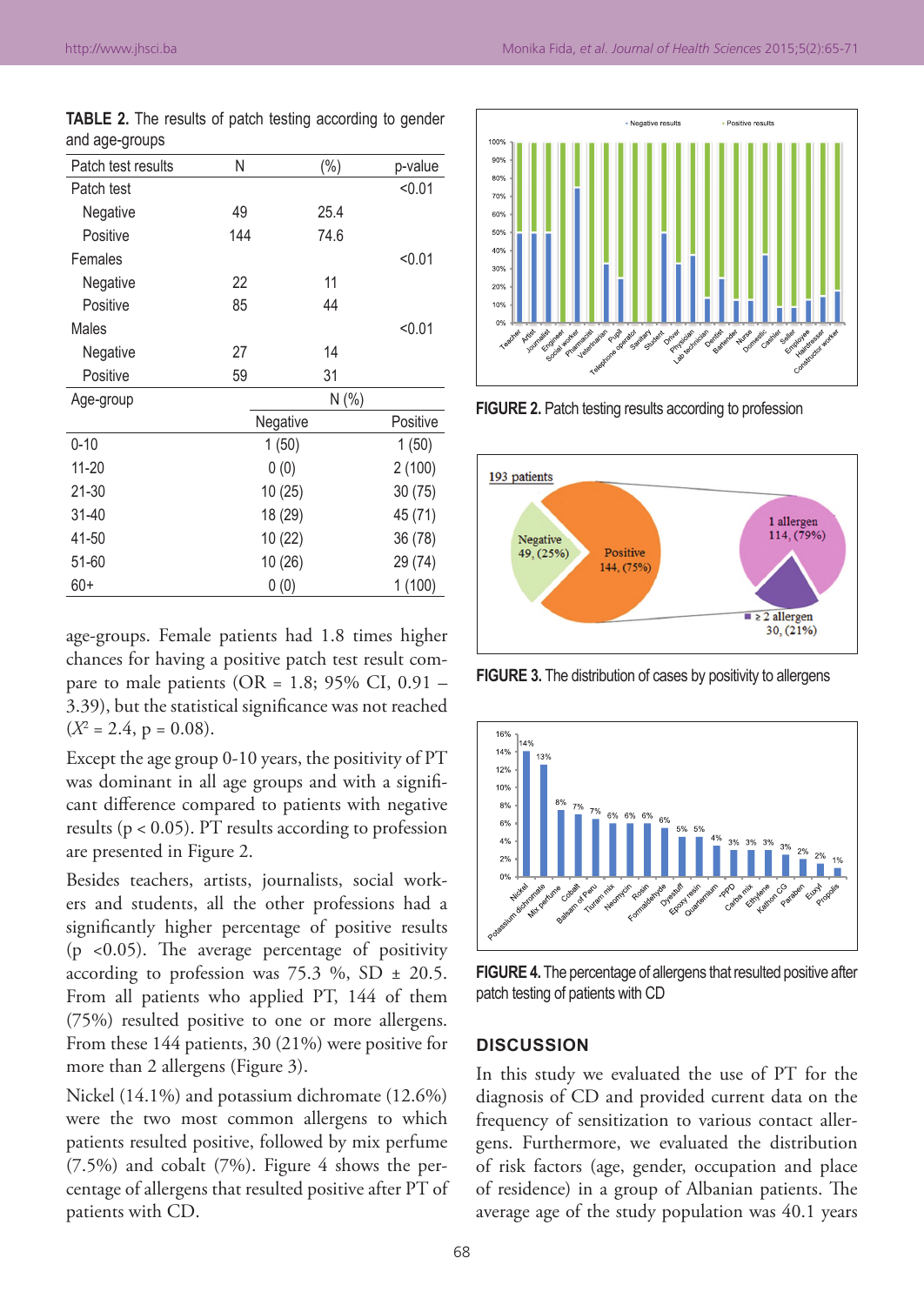| Patch test results | Ν       | $(\%)$   | p-value  |
|--------------------|---------|----------|----------|
| Patch test         |         |          | < 0.01   |
| Negative           | 49      | 25.4     |          |
| Positive           | 144     | 74.6     |          |
| Females            |         |          | < 0.01   |
| Negative           | 22      | 11       |          |
| Positive           | 85      | 44       |          |
| Males              |         |          | < 0.01   |
| Negative           | 27      | 14       |          |
| Positive           | 59      | 31       |          |
| Age-group          |         | N(%)     |          |
|                    |         | Negative | Positive |
| $0 - 10$           |         | 1(50)    | 1(50)    |
| $11 - 20$          |         | 0(0)     | 2(100)   |
| 21-30              |         | 10(25)   | 30(75)   |
| 31-40              | 18 (29) |          | 45 (71)  |
| 41-50              | 10 (22) |          | 36 (78)  |
| 51-60              | 10(26)  |          | 29 (74)  |
| 60+                |         | 0(0)     | 1(100)   |

**TABLE 2.** The results of patch testing according to gender and age‑groups

age-groups. Female patients had 1.8 times higher chances for having a positive patch test result compare to male patients (OR =  $1.8$ ; 95% CI, 0.91 – 3.39), but the statistical significance was not reached  $(X^2 = 2.4, p = 0.08).$ 

Except the age group 0-10 years, the positivity of PT was dominant in all age groups and with a significant difference compared to patients with negative results (p < 0.05). PT results according to profession are presented in Figure 2.

Besides teachers, artists, journalists, social workers and students, all the other professions had a significantly higher percentage of positive results (p  $\leq$ 0.05). The average percentage of positivity according to profession was 75.3 %, SD  $\pm$  20.5. From all patients who applied PT, 144 of them (75%) resulted positive to one or more allergens. From these 144 patients, 30 (21%) were positive for more than 2 allergens (Figure 3).

Nickel (14.1%) and potassium dichromate (12.6%) were the two most common allergens to which patients resulted positive, followed by mix perfume (7.5%) and cobalt (7%). Figure 4 shows the percentage of allergens that resulted positive after PT of patients with CD.



**FIGURE 2.** Patch testing results according to profession



**FIGURE 3.** The distribution of cases by positivity to allergens



**FIGURE 4.** The percentage of allergens that resulted positive after patch testing of patients with CD

#### **DISCUSSION**

In this study we evaluated the use of PT for the diagnosis of CD and provided current data on the frequency of sensitization to various contact allergens. Furthermore, we evaluated the distribution of risk factors (age, gender, occupation and place of residence) in a group of Albanian patients. The average age of the study population was 40.1 years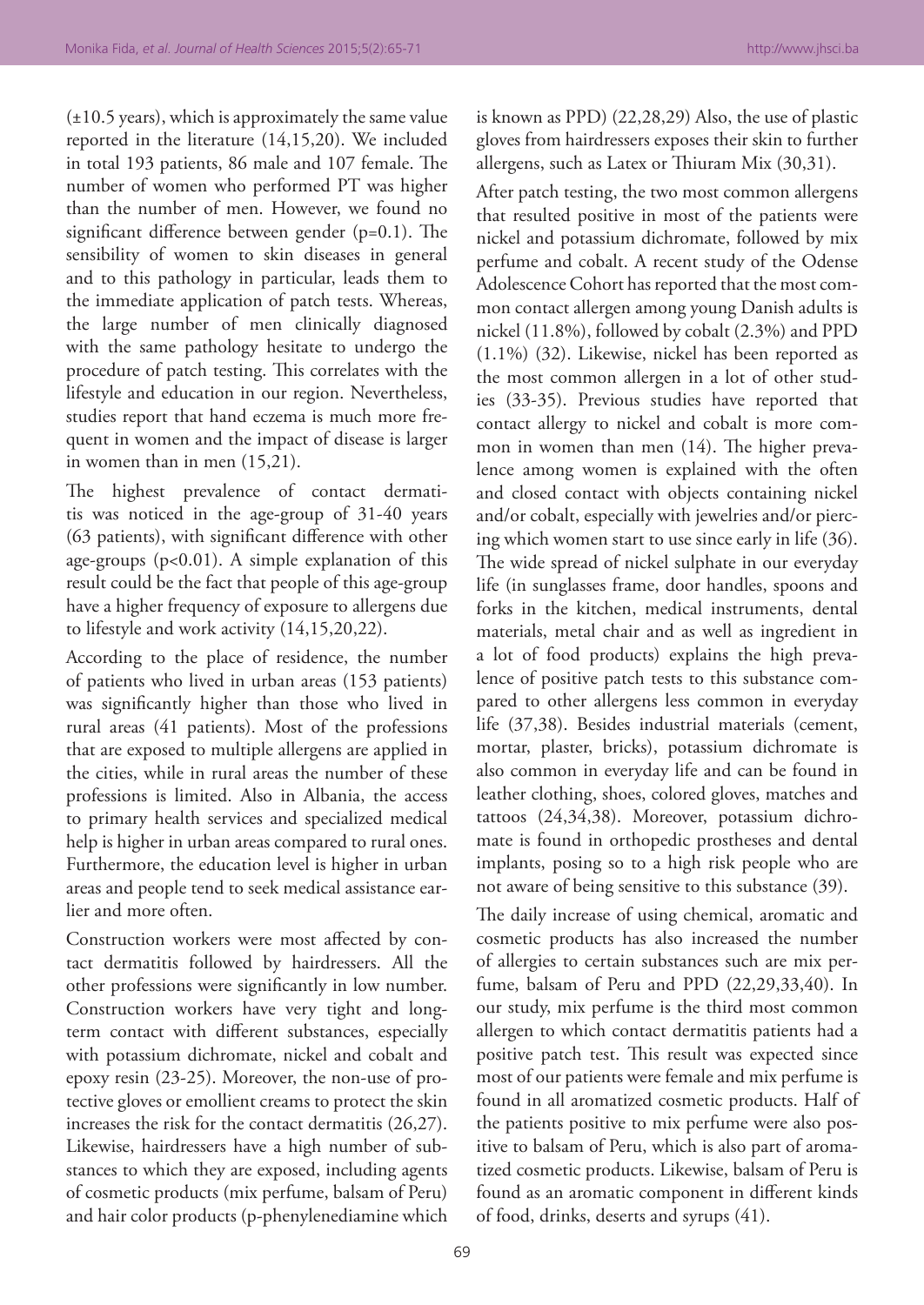$(\pm 10.5 \text{ years})$ , which is approximately the same value reported in the literature (14,15,20). We included in total 193 patients, 86 male and 107 female. The number of women who performed PT was higher than the number of men. However, we found no significant difference between gender (p=0.1). The sensibility of women to skin diseases in general and to this pathology in particular, leads them to the immediate application of patch tests. Whereas, the large number of men clinically diagnosed with the same pathology hesitate to undergo the procedure of patch testing. This correlates with the lifestyle and education in our region. Nevertheless, studies report that hand eczema is much more frequent in women and the impact of disease is larger in women than in men (15,21).

The highest prevalence of contact dermatitis was noticed in the age-group of 31-40 years (63 patients), with significant difference with other age-groups (p<0.01). A simple explanation of this result could be the fact that people of this age-group have a higher frequency of exposure to allergens due to lifestyle and work activity (14,15,20,22).

According to the place of residence, the number of patients who lived in urban areas (153 patients) was significantly higher than those who lived in rural areas (41 patients). Most of the professions that are exposed to multiple allergens are applied in the cities, while in rural areas the number of these professions is limited. Also in Albania, the access to primary health services and specialized medical help is higher in urban areas compared to rural ones. Furthermore, the education level is higher in urban areas and people tend to seek medical assistance earlier and more often.

Construction workers were most affected by contact dermatitis followed by hairdressers. All the other professions were significantly in low number. Construction workers have very tight and longterm contact with different substances, especially with potassium dichromate, nickel and cobalt and epoxy resin (23-25). Moreover, the non-use of protective gloves or emollient creams to protect the skin increases the risk for the contact dermatitis (26,27). Likewise, hairdressers have a high number of substances to which they are exposed, including agents of cosmetic products (mix perfume, balsam of Peru) and hair color products (p-phenylenediamine which

is known as PPD) (22,28,29) Also, the use of plastic gloves from hairdressers exposes their skin to further allergens, such as Latex or Thiuram Mix (30,31).

After patch testing, the two most common allergens that resulted positive in most of the patients were nickel and potassium dichromate, followed by mix perfume and cobalt. A recent study of the Odense Adolescence Cohort has reported that the most common contact allergen among young Danish adults is nickel (11.8%), followed by cobalt (2.3%) and PPD (1.1%) (32). Likewise, nickel has been reported as the most common allergen in a lot of other studies (33-35). Previous studies have reported that contact allergy to nickel and cobalt is more common in women than men (14). The higher prevalence among women is explained with the often and closed contact with objects containing nickel and/or cobalt, especially with jewelries and/or piercing which women start to use since early in life (36). The wide spread of nickel sulphate in our everyday life (in sunglasses frame, door handles, spoons and forks in the kitchen, medical instruments, dental materials, metal chair and as well as ingredient in a lot of food products) explains the high prevalence of positive patch tests to this substance compared to other allergens less common in everyday life (37,38). Besides industrial materials (cement, mortar, plaster, bricks), potassium dichromate is also common in everyday life and can be found in leather clothing, shoes, colored gloves, matches and tattoos (24,34,38). Moreover, potassium dichromate is found in orthopedic prostheses and dental implants, posing so to a high risk people who are not aware of being sensitive to this substance (39).

The daily increase of using chemical, aromatic and cosmetic products has also increased the number of allergies to certain substances such are mix perfume, balsam of Peru and PPD (22,29,33,40). In our study, mix perfume is the third most common allergen to which contact dermatitis patients had a positive patch test. This result was expected since most of our patients were female and mix perfume is found in all aromatized cosmetic products. Half of the patients positive to mix perfume were also positive to balsam of Peru, which is also part of aromatized cosmetic products. Likewise, balsam of Peru is found as an aromatic component in different kinds of food, drinks, deserts and syrups (41).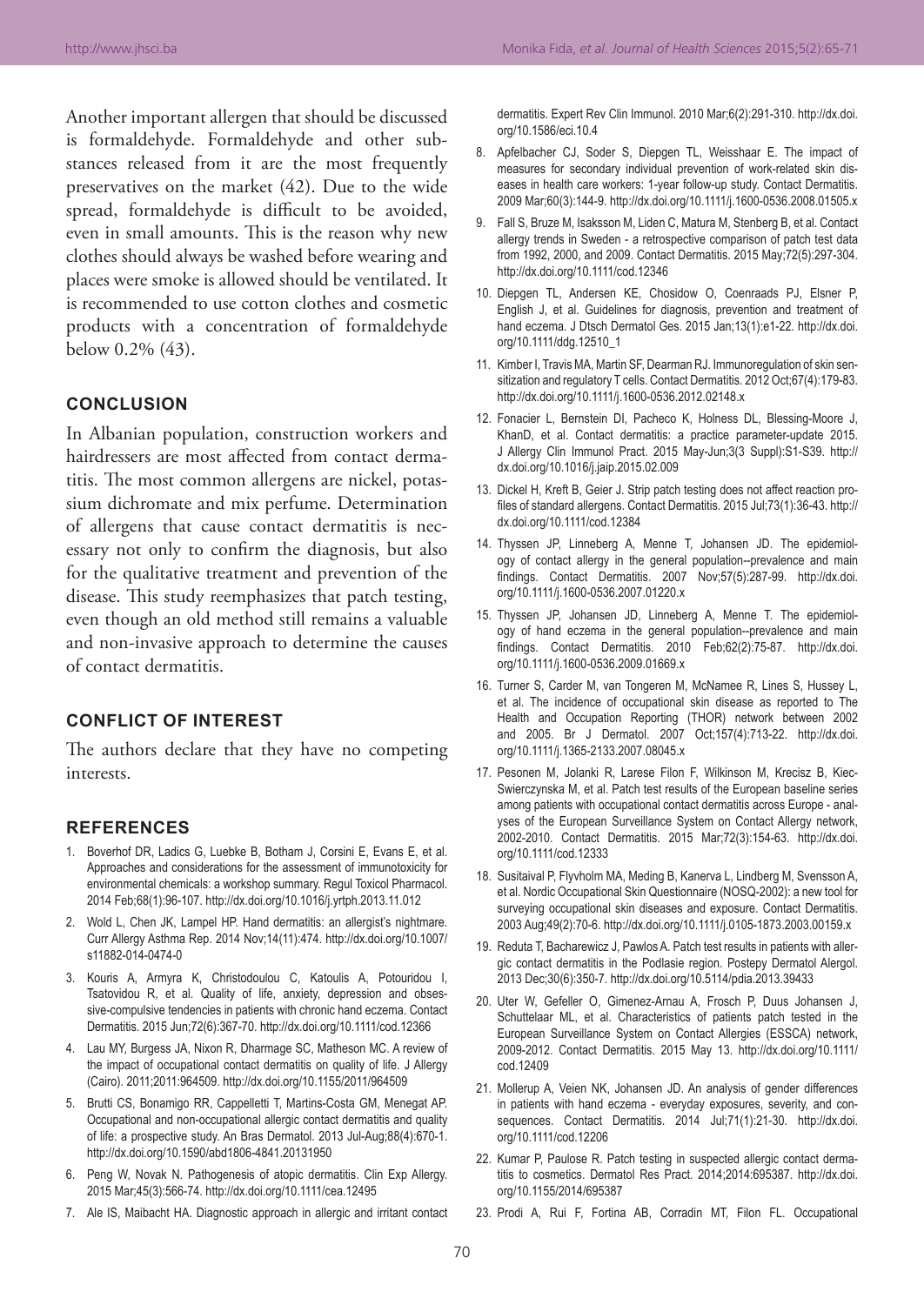Another important allergen that should be discussed is formaldehyde. Formaldehyde and other substances released from it are the most frequently preservatives on the market (42). Due to the wide spread, formaldehyde is difficult to be avoided, even in small amounts. This is the reason why new clothes should always be washed before wearing and places were smoke is allowed should be ventilated. It is recommended to use cotton clothes and cosmetic products with a concentration of formaldehyde below 0.2% (43).

## **CONCLUSION**

In Albanian population, construction workers and hairdressers are most affected from contact dermatitis. The most common allergens are nickel, potassium dichromate and mix perfume. Determination of allergens that cause contact dermatitis is necessary not only to confirm the diagnosis, but also for the qualitative treatment and prevention of the disease. This study reemphasizes that patch testing, even though an old method still remains a valuable and non-invasive approach to determine the causes of contact dermatitis.

# **CONFLICT OF INTEREST**

The authors declare that they have no competing interests.

## **REFERENCES**

- 1. Boverhof DR, Ladics G, Luebke B, Botham J, Corsini E, Evans E, et al. Approaches and considerations for the assessment of immunotoxicity for environmental chemicals: a workshop summary. Regul Toxicol Pharmacol. 2014 Feb;68(1):96-107. http://dx.doi.org/10.1016/j.yrtph.2013.11.012
- 2. Wold L, Chen JK, Lampel HP. Hand dermatitis: an allergist's nightmare. Curr Allergy Asthma Rep. 2014 Nov;14(11):474. http://dx.doi.org/10.1007/ s11882-014-0474-0
- 3. Kouris A, Armyra K, Christodoulou C, Katoulis A, Potouridou I, Tsatovidou R, et al. Quality of life, anxiety, depression and obsessive-compulsive tendencies in patients with chronic hand eczema. Contact Dermatitis. 2015 Jun;72(6):367-70. http://dx.doi.org/10.1111/cod.12366
- 4. Lau MY, Burgess JA, Nixon R, Dharmage SC, Matheson MC. A review of the impact of occupational contact dermatitis on quality of life. J Allergy (Cairo). 2011;2011:964509. http://dx.doi.org/10.1155/2011/964509
- 5. Brutti CS, Bonamigo RR, Cappelletti T, Martins-Costa GM, Menegat AP. Occupational and non-occupational allergic contact dermatitis and quality of life: a prospective study. An Bras Dermatol. 2013 Jul-Aug;88(4):670-1. http://dx.doi.org/10.1590/abd1806-4841.20131950
- 6. Peng W, Novak N. Pathogenesis of atopic dermatitis. Clin Exp Allergy. 2015 Mar;45(3):566-74. http://dx.doi.org/10.1111/cea.12495
- 7. Ale IS, Maibacht HA. Diagnostic approach in allergic and irritant contact

dermatitis. Expert Rev Clin Immunol. 2010 Mar;6(2):291-310. http://dx.doi. org/10.1586/eci.10.4

- 8. Apfelbacher CJ, Soder S, Diepgen TL, Weisshaar E. The impact of measures for secondary individual prevention of work-related skin diseases in health care workers: 1-year follow-up study. Contact Dermatitis. 2009 Mar;60(3):144-9. http://dx.doi.org/10.1111/j.1600-0536.2008.01505.x
- 9. Fall S, Bruze M, Isaksson M, Liden C, Matura M, Stenberg B, et al. Contact allergy trends in Sweden - a retrospective comparison of patch test data from 1992, 2000, and 2009. Contact Dermatitis. 2015 May;72(5):297-304. http://dx.doi.org/10.1111/cod.12346
- 10. Diepgen TL, Andersen KE, Chosidow O, Coenraads PJ, Elsner P, English J, et al. Guidelines for diagnosis, prevention and treatment of hand eczema. J Dtsch Dermatol Ges. 2015 Jan;13(1):e1-22. http://dx.doi. org/10.1111/ddg.12510\_1
- 11. Kimber I, Travis MA, Martin SF, Dearman RJ. Immunoregulation of skin sensitization and regulatory T cells. Contact Dermatitis. 2012 Oct;67(4):179-83. http://dx.doi.org/10.1111/j.1600-0536.2012.02148.x
- 12. Fonacier L, Bernstein DI, Pacheco K, Holness DL, Blessing-Moore J, KhanD, et al. Contact dermatitis: a practice parameter-update 2015. J Allergy Clin Immunol Pract. 2015 May-Jun;3(3 Suppl):S1-S39. http:// dx.doi.org/10.1016/j.jaip.2015.02.009
- 13. Dickel H, Kreft B, Geier J. Strip patch testing does not affect reaction profiles of standard allergens. Contact Dermatitis. 2015 Jul;73(1):36-43. http:// dx.doi.org/10.1111/cod.12384
- 14. Thyssen JP, Linneberg A, Menne T, Johansen JD. The epidemiology of contact allergy in the general population--prevalence and main findings. Contact Dermatitis. 2007 Nov;57(5):287-99. http://dx.doi. org/10.1111/j.1600-0536.2007.01220.x
- 15. Thyssen JP, Johansen JD, Linneberg A, Menne T. The epidemiology of hand eczema in the general population--prevalence and main findings. Contact Dermatitis. 2010 Feb;62(2):75-87. http://dx.doi. org/10.1111/j.1600-0536.2009.01669.x
- 16. Turner S, Carder M, van Tongeren M, McNamee R, Lines S, Hussey L, et al. The incidence of occupational skin disease as reported to The Health and Occupation Reporting (THOR) network between 2002 and 2005. Br J Dermatol. 2007 Oct;157(4):713-22. http://dx.doi. org/10.1111/j.1365-2133.2007.08045.x
- 17. Pesonen M, Jolanki R, Larese Filon F, Wilkinson M, Krecisz B, Kiec-Swierczynska M, et al. Patch test results of the European baseline series among patients with occupational contact dermatitis across Europe - analyses of the European Surveillance System on Contact Allergy network, 2002-2010. Contact Dermatitis. 2015 Mar;72(3):154-63. http://dx.doi. org/10.1111/cod.12333
- 18. Susitaival P, Flyvholm MA, Meding B, Kanerva L, Lindberg M, Svensson A, et al. Nordic Occupational Skin Questionnaire (NOSQ-2002): a new tool for surveying occupational skin diseases and exposure. Contact Dermatitis. 2003 Aug;49(2):70-6. http://dx.doi.org/10.1111/j.0105-1873.2003.00159.x
- 19. Reduta T, Bacharewicz J, Pawlos A. Patch test results in patients with allergic contact dermatitis in the Podlasie region. Postepy Dermatol Alergol. 2013 Dec;30(6):350-7. http://dx.doi.org/10.5114/pdia.2013.39433
- 20. Uter W, Gefeller O, Gimenez-Arnau A, Frosch P, Duus Johansen J, Schuttelaar ML, et al. Characteristics of patients patch tested in the European Surveillance System on Contact Allergies (ESSCA) network, 2009-2012. Contact Dermatitis. 2015 May 13. http://dx.doi.org/10.1111/ cod.12409
- 21. Mollerup A, Veien NK, Johansen JD. An analysis of gender differences in patients with hand eczema - everyday exposures, severity, and consequences. Contact Dermatitis. 2014 Jul;71(1):21-30. http://dx.doi. org/10.1111/cod.12206
- 22. Kumar P, Paulose R. Patch testing in suspected allergic contact dermatitis to cosmetics. Dermatol Res Pract. 2014;2014:695387. http://dx.doi. org/10.1155/2014/695387
- 23. Prodi A, Rui F, Fortina AB, Corradin MT, Filon FL. Occupational